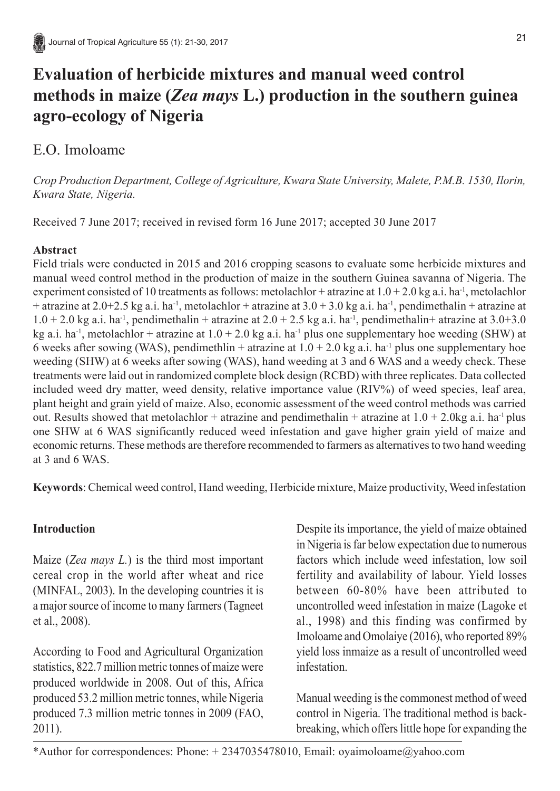# **Evaluation of herbicide mixtures and manual weed control methods in maize (***Zea mays* **L.) production in the southern guinea agro-ecology of Nigeria**

# E.O. Imoloame

*Crop Production Department, College of Agriculture, Kwara State University, Malete, P.M.B. 1530, Ilorin, Kwara State, Nigeria.*

Received 7 June 2017; received in revised form 16 June 2017; accepted 30 June 2017

# **Abstract**

Field trials were conducted in 2015 and 2016 cropping seasons to evaluate some herbicide mixtures and manual weed control method in the production of maize in the southern Guinea savanna of Nigeria. The experiment consisted of 10 treatments as follows: metolachlor + atrazine at  $1.0 + 2.0$  kg a.i. ha<sup>-1</sup>, metolachlor + atrazine at  $2.0+2.5$  kg a.i. ha<sup>-1</sup>, metolachlor + atrazine at  $3.0+3.0$  kg a.i. ha<sup>-1</sup>, pendimethalin + atrazine at  $1.0 + 2.0$  kg a.i. ha<sup>-1</sup>, pendimethalin + atrazine at  $2.0 + 2.5$  kg a.i. ha<sup>-1</sup>, pendimethalin+ atrazine at  $3.0 + 3.0$ kg a.i. ha<sup>-1</sup>, metolachlor + atrazine at  $1.0 + 2.0$  kg a.i. ha<sup>-1</sup> plus one supplementary hoe weeding (SHW) at 6 weeks after sowing (WAS), pendimethlin + atrazine at  $1.0 + 2.0$  kg a.i. ha<sup>-1</sup> plus one supplementary hoe weeding (SHW) at 6 weeks after sowing (WAS), hand weeding at 3 and 6 WAS and a weedy check. These treatments were laid out in randomized complete block design (RCBD) with three replicates. Data collected included weed dry matter, weed density, relative importance value (RIV%) of weed species, leaf area, plant height and grain yield of maize. Also, economic assessment of the weed control methods was carried out. Results showed that metolachlor + atrazine and pendimethalin + atrazine at  $1.0 + 2.0$ kg a.i. ha<sup>-1</sup> plus one SHW at 6 WAS significantly reduced weed infestation and gave higher grain yield of maize and economic returns. These methods are therefore recommended to farmers as alternatives to two hand weeding at 3 and 6 WAS.

**Keywords**: Chemical weed control, Hand weeding, Herbicide mixture, Maize productivity, Weed infestation

# **Introduction**

Maize (*Zea mays L.*) is the third most important cereal crop in the world after wheat and rice (MINFAL, 2003). In the developing countries it is a major source of income to many farmers (Tagneet et al., 2008).

According to Food and Agricultural Organization statistics, 822.7 million metric tonnes of maize were produced worldwide in 2008. Out of this, Africa produced 53.2 million metric tonnes, while Nigeria produced 7.3 million metric tonnes in 2009 (FAO, 2011).

Despite its importance, the yield of maize obtained in Nigeria is far below expectation due to numerous factors which include weed infestation, low soil fertility and availability of labour. Yield losses between 60-80% have been attributed to uncontrolled weed infestation in maize (Lagoke et al., 1998) and this finding was confirmed by Imoloame and Omolaiye (2016), who reported 89% yield loss inmaize as a result of uncontrolled weed infestation.

Manual weeding is the commonest method of weed control in Nigeria. The traditional method is backbreaking, which offers little hope for expanding the

\*Author for correspondences: Phone: + 2347035478010, Email: oyaimoloame@yahoo.com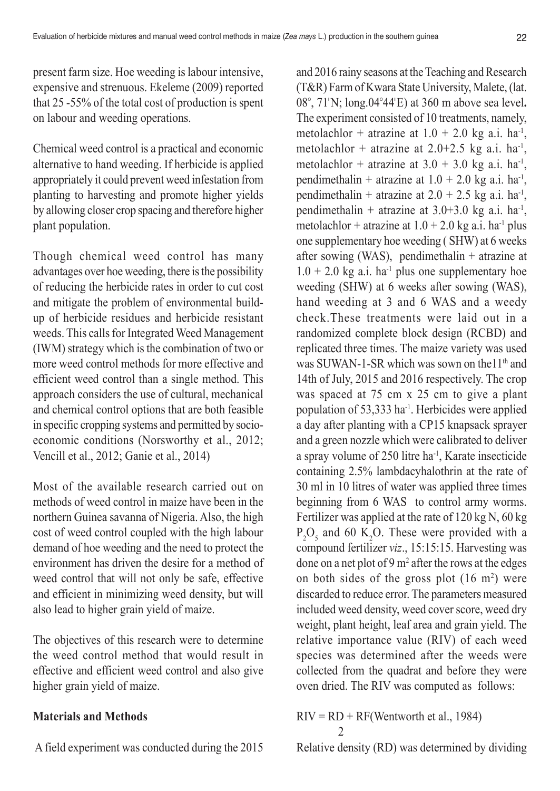present farm size. Hoe weeding is labour intensive, expensive and strenuous. Ekeleme (2009) reported that 25 -55% of the total cost of production is spent on labour and weeding operations.

Chemical weed control is a practical and economic alternative to hand weeding. If herbicide is applied appropriately it could prevent weed infestation from planting to harvesting and promote higher yields by allowing closer crop spacing and therefore higher plant population.

Though chemical weed control has many advantages over hoe weeding, there is the possibility of reducing the herbicide rates in order to cut cost and mitigate the problem of environmental buildup of herbicide residues and herbicide resistant weeds. This calls for Integrated Weed Management (IWM) strategy which is the combination of two or more weed control methods for more effective and efficient weed control than a single method. This approach considers the use of cultural, mechanical and chemical control options that are both feasible in specific cropping systems and permitted by socioeconomic conditions (Norsworthy et al., 2012; Vencill et al., 2012; Ganie et al., 2014)

Most of the available research carried out on methods of weed control in maize have been in the northern Guinea savanna of Nigeria. Also, the high cost of weed control coupled with the high labour demand of hoe weeding and the need to protect the environment has driven the desire for a method of weed control that will not only be safe, effective and efficient in minimizing weed density, but will also lead to higher grain yield of maize.

The objectives of this research were to determine the weed control method that would result in effective and efficient weed control and also give higher grain yield of maize.

### **Materials and Methods**

A field experiment was conducted during the 2015

and 2016 rainy seasons at the Teaching and Research (T&R) Farm of Kwara State University, Malete, (lat. 08°, 71'N; long.04°44'E) at 360 m above sea level**.** The experiment consisted of 10 treatments, namely, metolachlor + atrazine at  $1.0 + 2.0$  kg a.i. ha<sup>-1</sup>, metolachlor + atrazine at  $2.0+2.5$  kg a.i. ha<sup>-1</sup>, metolachlor + atrazine at  $3.0 + 3.0$  kg a.i. ha<sup>-1</sup>, pendimethalin + atrazine at  $1.0 + 2.0$  kg a.i. ha<sup>-1</sup>, pendimethalin + atrazine at  $2.0 + 2.5$  kg a.i. ha<sup>-1</sup>, pendimethalin + atrazine at  $3.0+3.0$  kg a.i. ha<sup>-1</sup>, metolachlor + atrazine at  $1.0 + 2.0$  kg a.i. ha<sup>-1</sup> plus one supplementary hoe weeding ( SHW) at 6 weeks after sowing (WAS), pendimethalin + atrazine at  $1.0 + 2.0$  kg a.i. ha<sup>-1</sup> plus one supplementary hoe weeding (SHW) at 6 weeks after sowing (WAS), hand weeding at 3 and 6 WAS and a weedy check.These treatments were laid out in a randomized complete block design (RCBD) and replicated three times. The maize variety was used was SUWAN-1-SR which was sown on the  $11<sup>th</sup>$  and 14th of July, 2015 and 2016 respectively. The crop was spaced at 75 cm x 25 cm to give a plant population of 53,333 ha-1. Herbicides were applied a day after planting with a CP15 knapsack sprayer and a green nozzle which were calibrated to deliver a spray volume of 250 litre ha-1, Karate insecticide containing 2.5% lambdacyhalothrin at the rate of 30 ml in 10 litres of water was applied three times beginning from 6 WAS to control army worms. Fertilizer was applied at the rate of 120 kg N, 60 kg  $P_2O_5$  and 60 K<sub>2</sub>O. These were provided with a compound fertilizer *viz*., 15:15:15. Harvesting was done on a net plot of 9  $m<sup>2</sup>$  after the rows at the edges on both sides of the gross plot  $(16 \text{ m}^2)$  were discarded to reduce error. The parameters measured included weed density, weed cover score, weed dry weight, plant height, leaf area and grain yield. The relative importance value (RIV) of each weed species was determined after the weeds were collected from the quadrat and before they were oven dried. The RIV was computed as follows:

 $RIV = RD + RF(Weather)$  et al., 1984) 2

Relative density (RD) was determined by dividing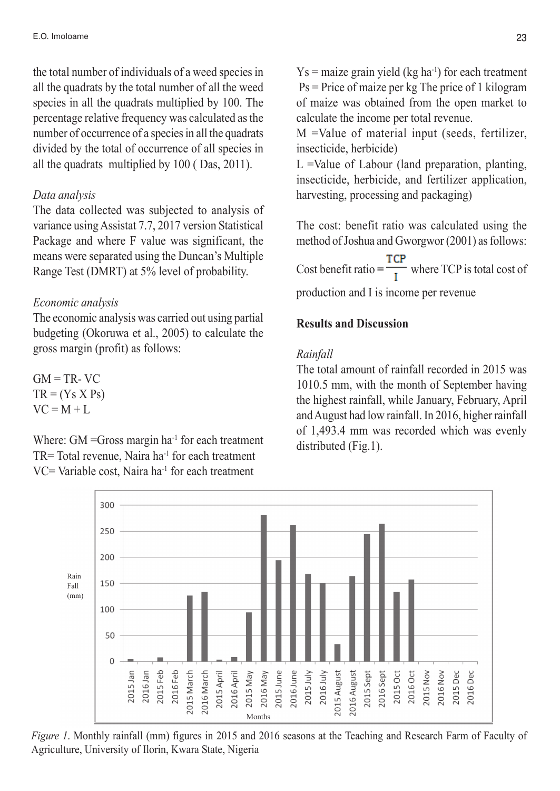the total number of individuals of a weed species in all the quadrats by the total number of all the weed species in all the quadrats multiplied by 100. The percentage relative frequency was calculated as the number of occurrence of a species in all the quadrats divided by the total of occurrence of all species in all the quadrats multiplied by 100 ( Das, 2011).

### *Data analysis*

The data collected was subjected to analysis of variance using Assistat 7.7, 2017 version Statistical Package and where F value was significant, the means were separated using the Duncan's Multiple Range Test (DMRT) at 5% level of probability.

#### *Economic analysis*

The economic analysis was carried out using partial budgeting (Okoruwa et al., 2005) to calculate the gross margin (profit) as follows:

 $GM = TR-VC$  $TR = (Y_S X P_S)$  $VC = M + L$ 

Where:  $GM = Gross margin ha^{-1}$  for each treatment  $TR = Total revenue$ , Naira ha<sup>-1</sup> for each treatment VC= Variable cost, Naira ha-1 for each treatment

 $Y_s$  = maize grain yield (kg ha<sup>-1</sup>) for each treatment Ps = Price of maize per kg The price of 1 kilogram of maize was obtained from the open market to calculate the income per total revenue.

M =Value of material input (seeds, fertilizer, insecticide, herbicide)

L =Value of Labour (land preparation, planting, insecticide, herbicide, and fertilizer application, harvesting, processing and packaging)

The cost: benefit ratio was calculated using the method of Joshua and Gworgwor (2001) as follows:

Cost benefit ratio  $=$   $\frac{TCP}{$ *TCP* $is total cost of$ 

production and I is income per revenue

### **Results and Discussion**

#### *Rainfall*

The total amount of rainfall recorded in 2015 was 1010.5 mm, with the month of September having the highest rainfall, while January, February, April and August had low rainfall. In 2016, higher rainfall of 1,493.4 mm was recorded which was evenly distributed (Fig.1).



*Figure 1*. Monthly rainfall (mm) figures in 2015 and 2016 seasons at the Teaching and Research Farm of Faculty of Agriculture, University of Ilorin, Kwara State, Nigeria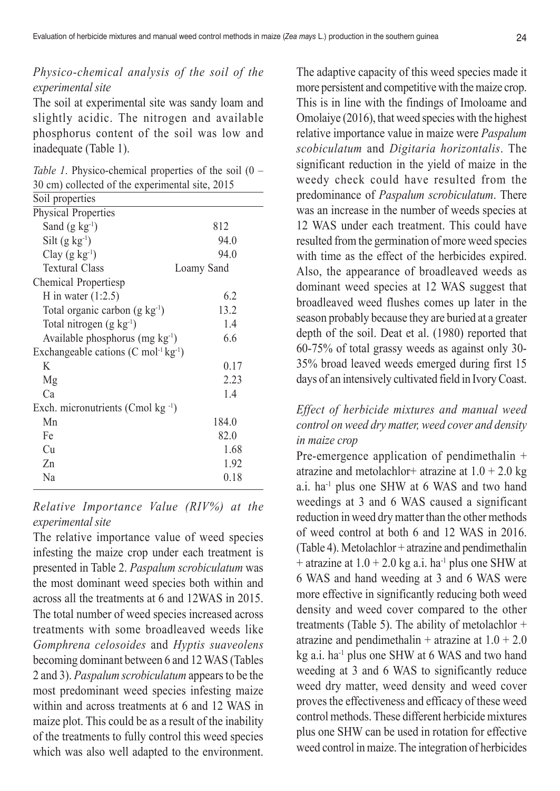# *Physico-chemical analysis of the soil of the experimental site*

The soil at experimental site was sandy loam and slightly acidic. The nitrogen and available phosphorus content of the soil was low and inadequate (Table 1).

*Table 1*. Physico-chemical properties of the soil (0 – 30 cm) collected of the experimental site, 2015

| Soil properties                                            |            |
|------------------------------------------------------------|------------|
| Physical Properties                                        |            |
| Sand $(g \ kg^{-1})$                                       | 812        |
| Silt $(g \ kg^{-1})$                                       | 94.0       |
| Clay $(g \ kg^{-1})$                                       | 94.0       |
| <b>Textural Class</b>                                      | Loamy Sand |
| Chemical Propertiesp                                       |            |
| H in water $(1:2.5)$                                       | 6.2        |
| Total organic carbon $(g \ kg^{-1})$                       | 13.2       |
| Total nitrogen $(g \ kg^{-1})$                             | 1.4        |
| Available phosphorus (mg $kg^{-1}$ )                       | 6.6        |
| Exchangeable cations $(C \text{ mol}^{-1} \text{kg}^{-1})$ |            |
| K                                                          | 0.17       |
| Mg                                                         | 2.23       |
| Ca                                                         | 1.4        |
| Exch. micronutrients (Cmol $kg^{-1}$ )                     |            |
| Mn                                                         | 184.0      |
| Fe                                                         | 82.0       |
| Cu                                                         | 1.68       |
| Zn                                                         | 1.92       |
| Na                                                         | 0.18       |
|                                                            |            |

## *Relative Importance Value (RIV%) at the experimental site*

The relative importance value of weed species infesting the maize crop under each treatment is presented in Table 2. *Paspalum scrobiculatum* was the most dominant weed species both within and across all the treatments at 6 and 12WAS in 2015. The total number of weed species increased across treatments with some broadleaved weeds like *Gomphrena celosoides* and *Hyptis suaveolens* becoming dominant between 6 and 12 WAS (Tables 2 and 3). *Paspalum scrobiculatum* appears to be the most predominant weed species infesting maize within and across treatments at 6 and 12 WAS in maize plot. This could be as a result of the inability of the treatments to fully control this weed species which was also well adapted to the environment.

The adaptive capacity of this weed species made it more persistent and competitive with the maize crop. This is in line with the findings of Imoloame and Omolaiye (2016), that weed species with the highest relative importance value in maize were *Paspalum scobiculatum* and *Digitaria horizontalis*. The significant reduction in the yield of maize in the weedy check could have resulted from the predominance of *Paspalum scrobiculatum*. There was an increase in the number of weeds species at 12 WAS under each treatment. This could have resulted from the germination of more weed species with time as the effect of the herbicides expired. Also, the appearance of broadleaved weeds as dominant weed species at 12 WAS suggest that broadleaved weed flushes comes up later in the season probably because they are buried at a greater depth of the soil. Deat et al. (1980) reported that 60-75% of total grassy weeds as against only 30- 35% broad leaved weeds emerged during first 15 days of an intensively cultivated field in Ivory Coast.

# *Effect of herbicide mixtures and manual weed control on weed dry matter, weed cover and density in maize crop*

Pre-emergence application of pendimethalin + atrazine and metolachlor+ atrazine at  $1.0 + 2.0$  kg a.i. ha-1 plus one SHW at 6 WAS and two hand weedings at 3 and 6 WAS caused a significant reduction in weed dry matter than the other methods of weed control at both 6 and 12 WAS in 2016. (Table 4). Metolachlor + atrazine and pendimethalin + atrazine at  $1.0 + 2.0$  kg a.i. ha<sup>-1</sup> plus one SHW at 6 WAS and hand weeding at 3 and 6 WAS were more effective in significantly reducing both weed density and weed cover compared to the other treatments (Table 5). The ability of metolachlor  $+$ atrazine and pendimethalin + atrazine at  $1.0 + 2.0$ kg a.i. ha<sup>-1</sup> plus one SHW at 6 WAS and two hand weeding at 3 and 6 WAS to significantly reduce weed dry matter, weed density and weed cover proves the effectiveness and efficacy of these weed control methods. These different herbicide mixtures plus one SHW can be used in rotation for effective weed control in maize. The integration of herbicides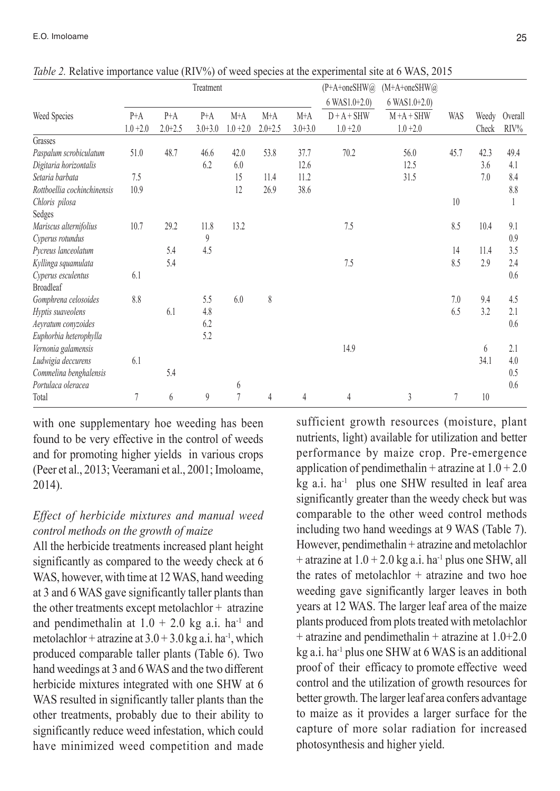|                             |             |             | Treatment      |             |             |             | (P+A+oneSHW@)   | $(M+A+oneSHW@)$ |      |       |         |
|-----------------------------|-------------|-------------|----------------|-------------|-------------|-------------|-----------------|-----------------|------|-------|---------|
|                             |             |             |                |             |             |             | $6$ WAS1.0+2.0) | $6$ WAS1.0+2.0) |      |       |         |
| Weed Species                | $P+A$       | $P+A$       | $P+A$          | $M+A$       | $M+A$       | $M+A$       | $D + A + SHW$   | $M + A + SHW$   | WAS  | Weedy | Overall |
|                             | $1.0 + 2.0$ | $2.0 + 2.5$ | $3.0 + 3.0$    | $1.0 + 2.0$ | $2.0 + 2.5$ | $3.0 + 3.0$ | $1.0 + 2.0$     | $1.0 + 2.0$     |      | Check | RIV%    |
| Grasses                     |             |             |                |             |             |             |                 |                 |      |       |         |
| Paspalum scrobiculatum      | 51.0        | 48.7        | 46.6           | 42.0        | 53.8        | 37.7        | 70.2            | 56.0            | 45.7 | 42.3  | 49.4    |
| Digitaria horizontalis      |             |             | 6.2            | 6.0         |             | 12.6        |                 | 12.5            |      | 3.6   | 4.1     |
| Setaria barbata             | 7.5         |             |                | 15          | 11.4        | 11.2        |                 | 31.5            |      | 7.0   | 8.4     |
| Rottboellia cochinchinensis | 10.9        |             |                | 12          | 26.9        | 38.6        |                 |                 |      |       | 8.8     |
| Chloris pilosa              |             |             |                |             |             |             |                 |                 | 10   |       |         |
| Sedges                      |             |             |                |             |             |             |                 |                 |      |       |         |
| Mariscus alternifolius      | 10.7        | 29.2        | 11.8           | 13.2        |             |             | 7.5             |                 | 8.5  | 10.4  | 9.1     |
| Cyperus rotundus            |             |             | $\overline{9}$ |             |             |             |                 |                 |      |       | 0.9     |
| Pycreus lanceolatum         |             | 5.4         | 4.5            |             |             |             |                 |                 | 14   | 11.4  | 3.5     |
| Kyllinga squamulata         |             | 5.4         |                |             |             |             | 7.5             |                 | 8.5  | 2.9   | 2.4     |
| Cyperus esculentus          | 6.1         |             |                |             |             |             |                 |                 |      |       | 0.6     |
| <b>Broadleaf</b>            |             |             |                |             |             |             |                 |                 |      |       |         |
| Gomphrena celosoides        | 8.8         |             | 5.5            | 6.0         | 8           |             |                 |                 | 7.0  | 9.4   | 4.5     |
| Hyptis suaveolens           |             | 6.1         | 4.8            |             |             |             |                 |                 | 6.5  | 3.2   | 2.1     |
| Aeyratum conyzoides         |             |             | 6.2            |             |             |             |                 |                 |      |       | 0.6     |
| Euphorbia heterophylla      |             |             | 5.2            |             |             |             |                 |                 |      |       |         |
| Vernonia galamensis         |             |             |                |             |             |             | 14.9            |                 |      | 6     | 2.1     |
| Ludwigia deccurens          | 6.1         |             |                |             |             |             |                 |                 |      | 34.1  | 4.0     |
| Commelina benghalensis      |             | 5.4         |                |             |             |             |                 |                 |      |       | 0.5     |
| Portulaca oleracea          |             |             |                | 6           |             |             |                 |                 |      |       | 0.6     |
| Total                       | 7           | 6           | 9              | $\tau$      | 4           | 4           | 4               | 3               | 7    | 10    |         |

*Table 2.* Relative importance value (RIV%) of weed species at the experimental site at 6 WAS, 2015

with one supplementary hoe weeding has been found to be very effective in the control of weeds and for promoting higher yields in various crops (Peer et al., 2013; Veeramani et al., 2001; Imoloame, 2014).

# *Effect of herbicide mixtures and manual weed control methods on the growth of maize*

All the herbicide treatments increased plant height significantly as compared to the weedy check at 6 WAS, however, with time at 12 WAS, hand weeding at 3 and 6 WAS gave significantly taller plants than the other treatments except metolachlor + atrazine and pendimethalin at  $1.0 + 2.0$  kg a.i. ha<sup>-1</sup> and metolachlor + atrazine at  $3.0 + 3.0$  kg a.i. ha<sup>-1</sup>, which produced comparable taller plants (Table 6). Two hand weedings at 3 and 6 WAS and the two different herbicide mixtures integrated with one SHW at 6 WAS resulted in significantly taller plants than the other treatments, probably due to their ability to significantly reduce weed infestation, which could have minimized weed competition and made sufficient growth resources (moisture, plant nutrients, light) available for utilization and better performance by maize crop. Pre-emergence application of pendimethalin + atrazine at  $1.0 + 2.0$ kg a.i. ha<sup>-1</sup> plus one SHW resulted in leaf area significantly greater than the weedy check but was comparable to the other weed control methods including two hand weedings at 9 WAS (Table 7). However, pendimethalin + atrazine and metolachlor + atrazine at  $1.0 + 2.0$  kg a.i. ha<sup>-1</sup> plus one SHW, all the rates of metolachlor  $+$  atrazine and two hoe weeding gave significantly larger leaves in both years at 12 WAS. The larger leaf area of the maize plants produced from plots treated with metolachlor + atrazine and pendimethalin + atrazine at 1.0+2.0 kg a.i. ha-1 plus one SHW at 6 WAS is an additional proof of their efficacy to promote effective weed control and the utilization of growth resources for better growth. The larger leaf area confers advantage to maize as it provides a larger surface for the capture of more solar radiation for increased photosynthesis and higher yield.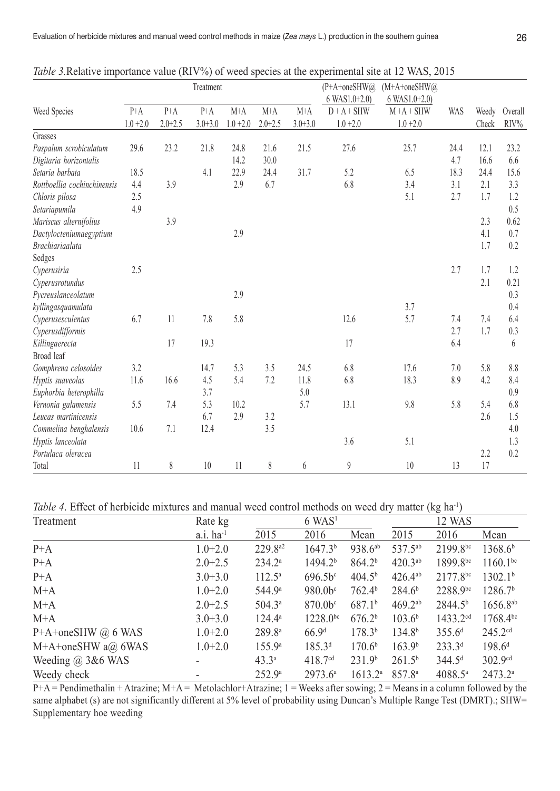|                             |             |             | Treatment   |             |             |             | $(P+A+oneSHW@)$<br>$6$ WAS1.0+2.0) | $(M+A+oneSHW@)$<br>$6$ WAS1.0+2.0) |            |       |         |
|-----------------------------|-------------|-------------|-------------|-------------|-------------|-------------|------------------------------------|------------------------------------|------------|-------|---------|
| Weed Species                | $P+A$       | $P+A$       | $P+A$       | $M+A$       | $M+A$       | $M+A$       | $D + A + SHW$                      | $M + A + SHW$                      | <b>WAS</b> | Weedy | Overall |
|                             | $1.0 + 2.0$ | $2.0 + 2.5$ | $3.0 + 3.0$ | $1.0 + 2.0$ | $2.0 + 2.5$ | $3.0 + 3.0$ | $1.0 + 2.0$                        | $1.0 + 2.0$                        |            | Check | RIV%    |
| Grasses                     |             |             |             |             |             |             |                                    |                                    |            |       |         |
| Paspalum scrobiculatum      | 29.6        | 23.2        | 21.8        | 24.8        | 21.6        | 21.5        | 27.6                               | 25.7                               | 24.4       | 12.1  | 23.2    |
| Digitaria horizontalis      |             |             |             | 14.2        | 30.0        |             |                                    |                                    | 4.7        | 16.6  | 6.6     |
| Setaria barbata             | 18.5        |             | 4.1         | 22.9        | 24.4        | 31.7        | 5.2                                | 6.5                                | 18.3       | 24.4  | 15.6    |
| Rottboellia cochinchinensis | 4.4         | 3.9         |             | 2.9         | 6.7         |             | 6.8                                | 3.4                                | 3.1        | 2.1   | 3.3     |
| Chloris pilosa              | 2.5         |             |             |             |             |             |                                    | 5.1                                | 2.7        | 1.7   | 1.2     |
| Setariapumila               | 4.9         |             |             |             |             |             |                                    |                                    |            |       | 0.5     |
| Mariscus alternifolius      |             | 3.9         |             |             |             |             |                                    |                                    |            | 2.3   | 0.62    |
| Dactylocteniumaegyptium     |             |             |             | 2.9         |             |             |                                    |                                    |            | 4.1   | 0.7     |
| Brachiariaalata             |             |             |             |             |             |             |                                    |                                    |            | 1.7   | 0.2     |
| Sedges                      |             |             |             |             |             |             |                                    |                                    |            |       |         |
| Cyperusiria                 | 2.5         |             |             |             |             |             |                                    |                                    | 2.7        | 1.7   | 1.2     |
| Cyperusrotundus             |             |             |             |             |             |             |                                    |                                    |            | 2.1   | 0.21    |
| Pycreuslanceolatum          |             |             |             | 2.9         |             |             |                                    |                                    |            |       | 0.3     |
| kyllingasquamulata          |             |             |             |             |             |             |                                    | 3.7                                |            |       | 0.4     |
| Cyperusesculentus           | 6.7         | 11          | 7.8         | 5.8         |             |             | 12.6                               | 5.7                                | 7.4        | 7.4   | 6.4     |
| Cyperusdifformis            |             |             |             |             |             |             |                                    |                                    | 2.7        | 1.7   | 0.3     |
| Killingaerecta              |             | 17          | 19.3        |             |             |             | 17                                 |                                    | 6.4        |       | 6       |
| Broad leaf                  |             |             |             |             |             |             |                                    |                                    |            |       |         |
| Gomphrena celosoides        | 3.2         |             | 14.7        | 5.3         | 3.5         | 24.5        | 6.8                                | 17.6                               | 7.0        | 5.8   | 8.8     |
| Hyptis suaveolas            | 11.6        | 16.6        | 4.5         | 5.4         | 7.2         | 11.8        | 6.8                                | 18.3                               | 8.9        | 4.2   | 8.4     |
| Euphorbia heterophilla      |             |             | 3.7         |             |             | 5.0         |                                    |                                    |            |       | 0.9     |
| Vernonia galamensis         | 5.5         | 7.4         | 5.3         | 10.2        |             | 5.7         | 13.1                               | 9.8                                | 5.8        | 5.4   | 6.8     |
| Leucas martinicensis        |             |             | 6.7         | 2.9         | 3.2         |             |                                    |                                    |            | 2.6   | 1.5     |
| Commelina benghalensis      | 10.6        | 7.1         | 12.4        |             | 3.5         |             |                                    |                                    |            |       | 4.0     |
| Hyptis lanceolata           |             |             |             |             |             |             | 3.6                                | 5.1                                |            |       | 1.3     |
| Portulaca oleracea          |             |             |             |             |             |             |                                    |                                    |            | 2.2   | 0.2     |
| Total                       | 11          | 8           | 10          | 11          | 8           | 6           | 9                                  | 10                                 | 13         | 17    |         |

*Table 3.*Relative importance value (RIV%) of weed species at the experimental site at 12 WAS, 2015

*Table 4*. Effect of herbicide mixtures and manual weed control methods on weed dry matter (kg ha<sup>-1</sup>)

| Treatment                | Rate kg                 |                    | $6$ WAS <sup>1</sup>  |                    |                     | 12 WAS               |                     |
|--------------------------|-------------------------|--------------------|-----------------------|--------------------|---------------------|----------------------|---------------------|
|                          | $a.i.$ ha <sup>-1</sup> | 2015               | 2016                  | Mean               | 2015                | 2016                 | Mean                |
| $P+A$                    | $1.0 + 2.0$             | $229.8^{a2}$       | 1647.3 <sup>b</sup>   | $938.6^{ab}$       | 537.5 <sup>ab</sup> | $2199.8^{bc}$        | 1368.6 <sup>b</sup> |
| $P+A$                    | $2.0 + 2.5$             | $234.2^a$          | 1494.2 <sup>b</sup>   | 864.2 <sup>b</sup> | $420.3^{ab}$        | $1899.8^{bc}$        | $1160.1^{bc}$       |
| $P+A$                    | $3.0 + 3.0$             | $112.5^{\circ}$    | $696.5b$ <sup>c</sup> | 404.5 <sup>b</sup> | $426.4^{ab}$        | $2177.8^{bc}$        | 1302.1 <sup>b</sup> |
| $M+A$                    | $1.0 + 2.0$             | 544.9 <sup>a</sup> | 980.0 <sup>c</sup>    | 762.4 <sup>b</sup> | 284.6 <sup>b</sup>  | $2288.9^{bc}$        | 1286.7 <sup>b</sup> |
| $M+A$                    | $2.0 + 2.5$             | $504.3^{\circ}$    | 870.0 <sup>c</sup>    | 687.1 <sup>b</sup> | $469.2^{ab}$        | 2844.5 <sup>b</sup>  | $1656.8^{ab}$       |
| $M+A$                    | $3.0 + 3.0$             | $124.4^{\circ}$    | $1228.0^{bc}$         | 676.2 <sup>b</sup> | 103.6 <sup>b</sup>  | 1433.2 <sup>cd</sup> | $1768.4^{bc}$       |
| P+A+oneSHW $@$ 6 WAS     | $1.0 + 2.0$             | 289.8 <sup>a</sup> | 66.9 <sup>d</sup>     | 178.3 <sup>b</sup> | 134.8 <sup>b</sup>  | 355.6 <sup>d</sup>   | 245.2 <sup>cd</sup> |
| $M+A+onesHW$ a@ 6WAS     | $1.0 + 2.0$             | $155.9^{\circ}$    | 185.3 <sup>d</sup>    | 170.6 <sup>b</sup> | 163.9 <sup>b</sup>  | $233.3^{d}$          | $198.6^{d}$         |
| Weeding $\omega$ 3&6 WAS |                         | $43.3^{\circ}$     | 418.7 <sup>cd</sup>   | 231.9 <sup>b</sup> | 261.5 <sup>b</sup>  | 344.5 <sup>d</sup>   | 302.9cd             |
| Weedy check              |                         | 252.9 <sup>a</sup> | $2973.6^{\circ}$      | $1613.2^a$         | 857.8a              | $4088.5^{\circ}$     | 2473.2a             |

 $P+A =$  Pendimethalin + Atrazine; M+A = Metolachlor+Atrazine; 1 = Weeks after sowing; 2 = Means in a column followed by the same alphabet (s) are not significantly different at 5% level of probability using Duncan's Multiple Range Test (DMRT).; SHW= Supplementary hoe weeding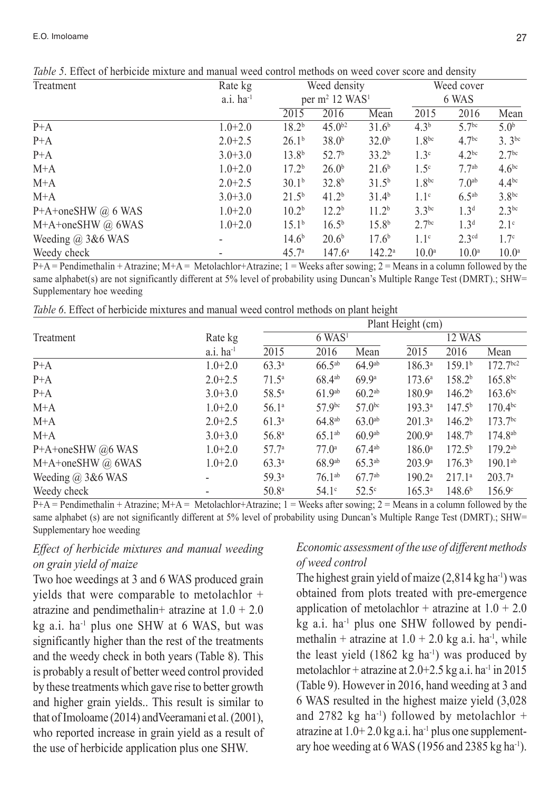| Treatment                | Rate kg           |                   | Weed density                           |                   |                   | Weed cover         |                   |
|--------------------------|-------------------|-------------------|----------------------------------------|-------------------|-------------------|--------------------|-------------------|
|                          | $a.i.$ ha $^{-1}$ |                   | per m <sup>2</sup> 12 WAS <sup>1</sup> |                   | 6 WAS             |                    |                   |
|                          |                   | 2015              | 2016                                   | Mean              | 2015              | 2016               | Mean              |
| $P+A$                    | $1.0 + 2.0$       | 18.2 <sup>b</sup> | $45.0^{b2}$                            | 31.6 <sup>b</sup> | $4.3^{b}$         | 5.7 <sup>bc</sup>  | 5.0 <sup>b</sup>  |
| $P+A$                    | $2.0 + 2.5$       | 26.1 <sup>b</sup> | 38.0 <sup>b</sup>                      | 32.0 <sup>b</sup> | 1.8 <sup>bc</sup> | 4.7 <sup>bc</sup>  | $3.3^{bc}$        |
| $P+A$                    | $3.0 + 3.0$       | $13.8^{b}$        | 52.7 <sup>b</sup>                      | 33.2 <sup>b</sup> | 1.3 <sup>c</sup>  | $4.2^{bc}$         | 2.7 <sup>bc</sup> |
| $M+A$                    | $1.0 + 2.0$       | 17.2 <sup>b</sup> | 26.0 <sup>b</sup>                      | 21.6 <sup>b</sup> | 1.5 <sup>c</sup>  | $77$ <sup>ab</sup> | $4.6^{bc}$        |
| $M+A$                    | $2.0 + 2.5$       | 30.1 <sup>b</sup> | 32.8 <sup>b</sup>                      | $31.5^{b}$        | 1.8 <sup>bc</sup> | 70 <sup>ab</sup>   | $4.4^{bc}$        |
| $M+A$                    | $3.0 + 3.0$       | $21.5^{b}$        | 41.2 <sup>b</sup>                      | 31.4 <sup>b</sup> | 1.1 <sup>c</sup>  | $6.5^{ab}$         | 3.8 <sup>bc</sup> |
| P+A+oneSHW @ 6 WAS       | $1.0 + 2.0$       | 10.2 <sup>b</sup> | $12.2^b$                               | 11.2 <sup>b</sup> | $3.3^{bc}$        | 1.3 <sup>d</sup>   | $2.3^{bc}$        |
| M+A+oneSHW @ 6WAS        | $1.0 + 2.0$       | 15.1 <sup>b</sup> | $16.5^{b}$                             | 15.8 <sup>b</sup> | 2.7 <sup>bc</sup> | 1.3 <sup>d</sup>   | 2.1 <sup>c</sup>  |
| Weeding $\omega$ 3&6 WAS |                   | $14.6^{b}$        | 20.6 <sup>b</sup>                      | 17.6 <sup>b</sup> | 1.1 <sup>c</sup>  | 2.3 <sup>cd</sup>  | 1.7 <sup>c</sup>  |
| Weedy check              |                   | 45.7 <sup>a</sup> | $147.6^{\circ}$                        | $142.2^a$         | 10.0 <sup>a</sup> | 10.0 <sup>a</sup>  | 10.0 <sup>a</sup> |

*Table 5*. Effect of herbicide mixture and manual weed control methods on weed cover score and density

 $P+A =$  Pendimethalin + Atrazine; M+A = Metolachlor+Atrazine; 1 = Weeks after sowing; 2 = Means in a column followed by the same alphabet(s) are not significantly different at 5% level of probability using Duncan's Multiple Range Test (DMRT).; SHW= Supplementary hoe weeding

*Table 6*. Effect of herbicide mixtures and manual weed control methods on plant height

|                          |                         | Plant Height (cm) |                      |                    |                    |                    |                        |  |  |  |
|--------------------------|-------------------------|-------------------|----------------------|--------------------|--------------------|--------------------|------------------------|--|--|--|
| Treatment                | Rate kg                 |                   | $6$ WAS <sup>1</sup> |                    |                    | 12 WAS             |                        |  |  |  |
|                          | $a.i.$ ha <sup>-1</sup> | 2015              | 2016                 | Mean               | 2015               | 2016               | Mean                   |  |  |  |
| $P+A$                    | $1.0 + 2.0$             | $63.3^{a}$        | $66.5^{ab}$          | 64.9 <sup>ab</sup> | $186.3^{a}$        | 159.1 <sup>b</sup> | $172.7$ <sup>bc2</sup> |  |  |  |
| $P+A$                    | $2.0 + 2.5$             | $71.5^{\circ}$    | $68.4^{ab}$          | 69.9 <sup>a</sup>  | $173.6^{\circ}$    | 158.2 <sup>b</sup> | $165.8^{bc}$           |  |  |  |
| $P+A$                    | $3.0 + 3.0$             | $58.5^{\circ}$    | 61.9 <sup>ab</sup>   | 60.2 <sup>ab</sup> | 180.9 <sup>a</sup> | 146.2 <sup>b</sup> | $163.6^{bc}$           |  |  |  |
| $M+A$                    | $1.0 + 2.0$             | $56.1^{\circ}$    | 57.9 <sup>bc</sup>   | $57.0^{bc}$        | $193.3^{a}$        | 147.5 <sup>b</sup> | $170.4^{bc}$           |  |  |  |
| $M+A$                    | $2.0 + 2.5$             | $61.3^{\circ}$    | $64.8^{ab}$          | 63.0 <sup>ab</sup> | $201.3^{a}$        | 146.2 <sup>b</sup> | 173.7 <sup>bc</sup>    |  |  |  |
| $M+A$                    | $3.0 + 3.0$             | 56.8 <sup>a</sup> | $65.1^{ab}$          | 60.9 <sup>ab</sup> | 200.9 <sup>a</sup> | 148.7 <sup>b</sup> | $174.8^{ab}$           |  |  |  |
| P+A+oneSHW @6 WAS        | $1.0 + 2.0$             | $57.7^{\circ}$    | 77.0 <sup>a</sup>    | $67.4^{ab}$        | $186.0^{\circ}$    | $172.5^{b}$        | $179.2^{ab}$           |  |  |  |
| M+A+oneSHW @ 6WAS        | $1.0 + 2.0$             | $63.3^{\circ}$    | 68.9 <sup>ab</sup>   | $65.3^{ab}$        | 203.9 <sup>a</sup> | 176.3 <sup>b</sup> | $190.1^{ab}$           |  |  |  |
| Weeding $\omega$ 3&6 WAS |                         | 59.3 <sup>a</sup> | $76.1^{ab}$          | $67.7^{ab}$        | 190.2 <sup>a</sup> | 217.1 <sup>a</sup> | 203.7 <sup>a</sup>     |  |  |  |
| Weedy check              |                         | 50.8 <sup>a</sup> | $54.1^\circ$         | $52.5^\circ$       | $165.3^{\circ}$    | $148.6^{b}$        | $156.9^{\circ}$        |  |  |  |

 $P+A =$  Pendimethalin + Atrazine; M+A = Metolachlor+Atrazine; 1 = Weeks after sowing; 2 = Means in a column followed by the same alphabet (s) are not significantly different at 5% level of probability using Duncan's Multiple Range Test (DMRT).; SHW= Supplementary hoe weeding

# *Effect of herbicide mixtures and manual weeding on grain yield of maize*

Two hoe weedings at 3 and 6 WAS produced grain yields that were comparable to metolachlor + atrazine and pendimethalin+ atrazine at  $1.0 + 2.0$  $kg$  a.i. ha<sup>-1</sup> plus one SHW at 6 WAS, but was significantly higher than the rest of the treatments and the weedy check in both years (Table 8). This is probably a result of better weed control provided by these treatments which gave rise to better growth and higher grain yields.. This result is similar to that of Imoloame (2014) andVeeramani et al. (2001), who reported increase in grain yield as a result of the use of herbicide application plus one SHW.

# *Economic assessment of the use of different methods of weed control*

The highest grain yield of maize  $(2,814 \text{ kg ha}^{-1})$  was obtained from plots treated with pre-emergence application of metolachlor + atrazine at  $1.0 + 2.0$  $kg$  a.i. ha<sup>-1</sup> plus one SHW followed by pendimethalin + atrazine at  $1.0 + 2.0$  kg a.i. ha<sup>-1</sup>, while the least yield  $(1862 \text{ kg ha}^{-1})$  was produced by metolachlor + atrazine at  $2.0+2.5$  kg a.i. ha<sup>-1</sup> in 2015 (Table 9). However in 2016, hand weeding at 3 and 6 WAS resulted in the highest maize yield (3,028 and 2782 kg ha<sup>-1</sup>) followed by metolachlor + atrazine at  $1.0+2.0$  kg a.i. ha<sup>-1</sup> plus one supplementary hoe weeding at 6 WAS (1956 and 2385 kg ha<sup>-1</sup>).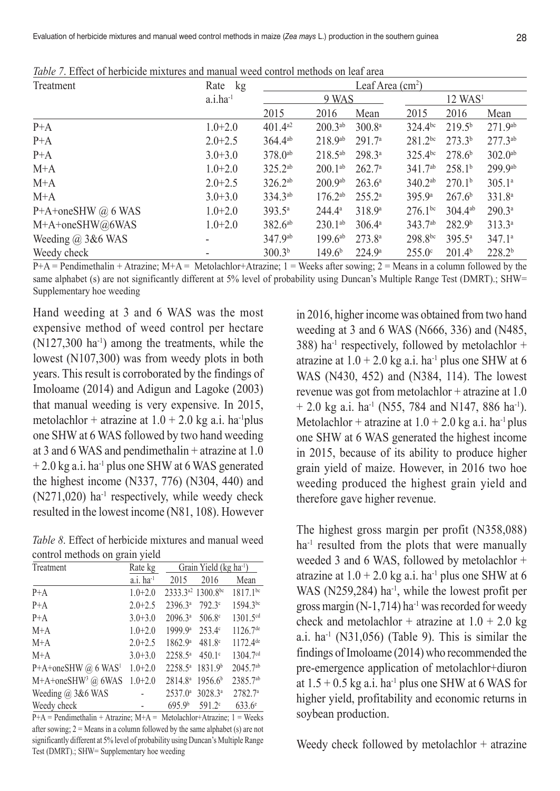| Treatment             | Rate kg       | Leaf Area $(cm2)$   |                     |                    |                     |                       |                    |  |  |  |
|-----------------------|---------------|---------------------|---------------------|--------------------|---------------------|-----------------------|--------------------|--|--|--|
|                       | $a.i.ha^{-1}$ |                     | 9 WAS               |                    |                     | $12$ WAS <sup>1</sup> |                    |  |  |  |
|                       |               | 2015                | 2016                | Mean               | 2015                | 2016                  | Mean               |  |  |  |
| $P+A$                 | $1.0 + 2.0$   | $401.4a^2$          | $200.3^{ab}$        | 300.8 <sup>a</sup> | $324.4^{bc}$        | $219.5^{b}$           | $271.9^{ab}$       |  |  |  |
| $P+A$                 | $2.0 + 2.5$   | $364.4^{ab}$        | $218.9^{ab}$        | 291.7 <sup>a</sup> | $281.2^{bc}$        | $273.3^{b}$           | $277.3^{ab}$       |  |  |  |
| $P+A$                 | $3.0 + 3.0$   | 378.0 <sup>ab</sup> | $218.5^{ab}$        | $298.3^{a}$        | $325.4^{bc}$        | 278.6 <sup>b</sup>    | $302.0^{ab}$       |  |  |  |
| $M+A$                 | $1.0 + 2.0$   | $325.2^{ab}$        | $200.1^{ab}$        | 262.7 <sup>a</sup> | 341.7 <sup>ab</sup> | 258.1 <sup>b</sup>    | 299.9ab            |  |  |  |
| $M+A$                 | $2.0 + 2.5$   | $326.2^{ab}$        | 200.9a <sup>b</sup> | $263.6^{\circ}$    | $340.2^{ab}$        | 270.1 <sup>b</sup>    | 305.1a             |  |  |  |
| $M+A$                 | $3.0 + 3.0$   | 334.3 <sup>ab</sup> | $176.2^{ab}$        | $255.2^{\circ}$    | 395.9a              | 267.6 <sup>b</sup>    | 331.8 <sup>a</sup> |  |  |  |
| P+A+oneSHW @ 6 WAS    | $1.0 + 2.0$   | $393.5^{\circ}$     | $244.4^{\circ}$     | 318.9 <sup>a</sup> | $276.1^{bc}$        | $304.4^{ab}$          | $290.3^a$          |  |  |  |
| M+A+oneSHW@6WAS       | $1.0 + 2.0$   | $382.6^{ab}$        | $230.1^{ab}$        | $306.4^{\circ}$    | 343.7 <sup>ab</sup> | 282.9 <sup>b</sup>    | 313.3 <sup>a</sup> |  |  |  |
| Weeding $(a)$ 3&6 WAS |               | 347.9ab             | $199.6^{ab}$        | 273.8 <sup>a</sup> | $298.8^{bc}$        | $395.5^{\circ}$       | 347.1a             |  |  |  |
| Weedy check           |               | 300.3 <sup>b</sup>  | 149.6 <sup>b</sup>  | 224.9 <sup>a</sup> | $255.0^{\circ}$     | 201.4 <sup>b</sup>    | 228.2 <sup>b</sup> |  |  |  |

*Table 7*. Effect of herbicide mixtures and manual weed control methods on leaf area

 $P+A =$  Pendimethalin + Atrazine;  $M+A =$  Metolachlor+Atrazine; 1 = Weeks after sowing; 2 = Means in a column followed by the same alphabet (s) are not significantly different at 5% level of probability using Duncan's Multiple Range Test (DMRT).; SHW= Supplementary hoe weeding

Hand weeding at 3 and 6 WAS was the most expensive method of weed control per hectare  $(N127,300 \text{ ha}^{-1})$  among the treatments, while the lowest (N107,300) was from weedy plots in both years. This result is corroborated by the findings of Imoloame (2014) and Adigun and Lagoke (2003) that manual weeding is very expensive. In 2015, metolachlor + atrazine at  $1.0 + 2.0$  kg a.i. ha<sup>-1</sup>plus one SHW at 6 WAS followed by two hand weeding at 3 and 6 WAS and pendimethalin + atrazine at 1.0  $+ 2.0$  kg a.i. ha<sup>-1</sup> plus one SHW at 6 WAS generated the highest income (N337, 776) (N304, 440) and  $(N271,020)$  ha<sup>-1</sup> respectively, while weedy check resulted in the lowest income (N81, 108). However

*Table 8*. Effect of herbicide mixtures and manual weed control methods on grain yield

| Treatment                       | Rate kg                 | Grain Yield (kg ha <sup>-1</sup> ) |                                           |                      |  |  |  |
|---------------------------------|-------------------------|------------------------------------|-------------------------------------------|----------------------|--|--|--|
|                                 | $a.i.$ ha <sup>-1</sup> | 2015                               | 2016                                      | Mean                 |  |  |  |
| $P+A$                           | $1.0 + 2.0$             |                                    | 2333.3 <sup>a2</sup> 1300.8 <sup>bc</sup> | 1817.1bc             |  |  |  |
| $P+A$                           | $2.0 + 2.5$             | 2396.3ª                            | 792.3 <sup>c</sup>                        | 1594.3bc             |  |  |  |
| $P+A$                           | $3.0 + 3.0$             | 2096.3a                            | 506.8 <sup>c</sup>                        | 1301.5cd             |  |  |  |
| $M+A$                           | $1.0 + 2.0$             | 1999.9 <sup>a</sup>                | $253.4^{\circ}$                           | 1126.7 <sup>de</sup> |  |  |  |
| $M+A$                           | $2.0 + 2.5$             | 1862.9 <sup>a</sup>                | $481.8^{\circ}$                           | 1172.4 <sup>de</sup> |  |  |  |
| $M+A$                           | $3.0 + 3.0$             | 2258.5 <sup>a</sup>                | 450.1°                                    | 1304.7 <sup>cd</sup> |  |  |  |
| P+A+oneSHW @ 6 WAS <sup>1</sup> | $1.0 + 2.0$             | 2258.5ª                            | 1831.9 <sup>b</sup>                       | $2045.7^{ab}$        |  |  |  |
| M+A+oneSHW <sup>3</sup> @ 6WAS  | $1.0 + 2.0$             | 2814.8 <sup>a</sup>                | 1956.6 <sup>b</sup>                       | 2385.7ab             |  |  |  |
| Weeding $(a)$ 3&6 WAS           |                         | $2537.0^a$                         | 3028.3ª                                   | 2782.7 <sup>a</sup>  |  |  |  |
| Weedy check                     |                         | 695.9 <sup>b</sup>                 | 591.2°                                    | $633.6^{\circ}$      |  |  |  |

 $P+A =$  Pendimethalin + Atrazine;  $M+A =$  Metolachlor+Atrazine; 1 = Weeks after sowing;  $2 =$  Means in a column followed by the same alphabet (s) are not significantly different at 5% level of probability using Duncan's Multiple Range Test (DMRT).; SHW= Supplementary hoe weeding

in 2016, higher income was obtained from two hand weeding at 3 and 6 WAS (N666, 336) and (N485, 388) ha<sup>-1</sup> respectively, followed by metolachlor + atrazine at  $1.0 + 2.0$  kg a.i. ha<sup>-1</sup> plus one SHW at 6 WAS (N430, 452) and (N384, 114). The lowest revenue was got from metolachlor + atrazine at 1.0  $+ 2.0$  kg a.i. ha<sup>-1</sup> (N55, 784 and N147, 886 ha<sup>-1</sup>). Metolachlor + atrazine at  $1.0 + 2.0$  kg a.i. ha<sup>-1</sup> plus one SHW at 6 WAS generated the highest income in 2015, because of its ability to produce higher grain yield of maize. However, in 2016 two hoe weeding produced the highest grain yield and therefore gave higher revenue.

The highest gross margin per profit (N358,088) ha<sup>-1</sup> resulted from the plots that were manually weeded 3 and 6 WAS, followed by metolachlor + atrazine at  $1.0 + 2.0$  kg a.i. ha<sup>-1</sup> plus one SHW at 6 WAS ( $N259,284$ ) ha<sup>-1</sup>, while the lowest profit per gross margin  $(N-1,714)$  ha<sup>-1</sup> was recorded for weedy check and metolachlor + atrazine at  $1.0 + 2.0$  kg a.i.  $ha^{-1}$  (N31,056) (Table 9). This is similar the findings of Imoloame (2014) who recommended the pre-emergence application of metolachlor+diuron at  $1.5 + 0.5$  kg a.i. ha<sup>-1</sup> plus one SHW at 6 WAS for higher yield, profitability and economic returns in soybean production.

Weedy check followed by metolachlor + atrazine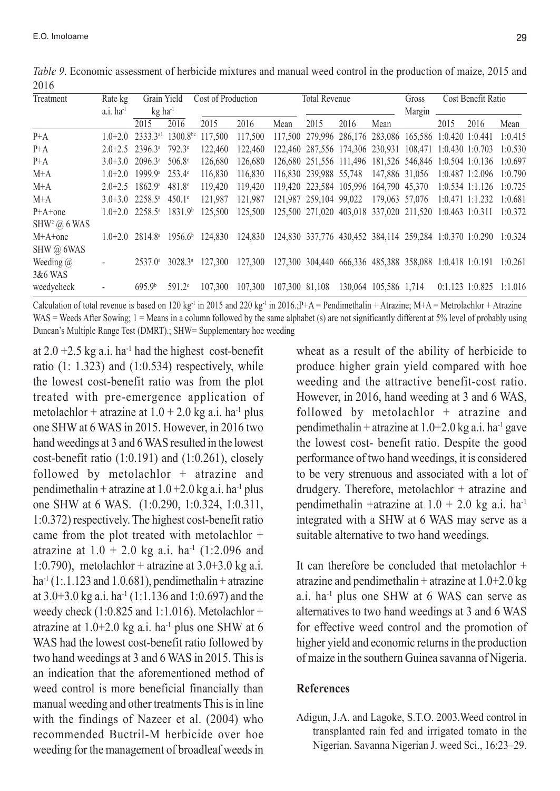| Treatment                       | Rate kg                 | Grain Yield                                         |                    | Cost of Production                        |                                                                         |                                                                 | <b>Total Revenue</b>                                            |      |                       | Gross  |                     | Cost Benefit Ratio |                           |
|---------------------------------|-------------------------|-----------------------------------------------------|--------------------|-------------------------------------------|-------------------------------------------------------------------------|-----------------------------------------------------------------|-----------------------------------------------------------------|------|-----------------------|--------|---------------------|--------------------|---------------------------|
|                                 | $a.i.$ ha <sup>-1</sup> | $kg$ ha <sup>-1</sup>                               |                    |                                           |                                                                         |                                                                 |                                                                 |      |                       | Margin |                     |                    |                           |
|                                 |                         | 2015                                                | 2016               | 2015                                      | 2016                                                                    | Mean                                                            | 2015                                                            | 2016 | Mean                  |        | 2015                | 2016               | Mean                      |
| $P+A$                           |                         | $1.0+2.0$ 2333.3 <sup>a1</sup> 1300.8 <sup>bc</sup> |                    | 117.500                                   | 117.500                                                                 |                                                                 | 117,500 279,996 286,176 283,086 165,586 1:0.420 1:0.441         |      |                       |        |                     |                    | 1:0.415                   |
| $P+A$                           |                         | $2.0+2.5$ 2396.3 <sup>a</sup> 792.3 <sup>c</sup>    |                    | 122,460                                   | 122,460                                                                 |                                                                 | 122.460 287.556 174.306 230.931 108.471 1:0.430 1:0.703         |      |                       |        |                     |                    | 1:0.530                   |
| $P+A$                           |                         | $3.0 + 3.0$ $2096.3^{\circ}$                        | 506.8 <sup>c</sup> | 126.680                                   | 126.680                                                                 |                                                                 | 126.680 251.556 111.496 181.526 546.846 1:0.504 1:0.136         |      |                       |        |                     |                    | 1:0.697                   |
| $M+A$                           |                         | $1.0+2.0$ 1999.9 <sup>a</sup> 253.4 <sup>c</sup>    |                    | 116.830                                   | 116.830                                                                 |                                                                 | 116,830 239,988 55,748 147,886 31,056                           |      |                       |        |                     | $1:0.487$ 1:2.096  | 1:0.790                   |
| $M+A$                           |                         | $2.0 + 2.5$ 1862.9 <sup>a</sup>                     | $481.8^{\circ}$    | 119.420                                   | 119.420                                                                 |                                                                 | 119.420 223.584 105.996 164.790 45.370                          |      |                       |        |                     | $1:0.534$ 1:1.126  | 1:0.725                   |
| $M+A$                           |                         | $3.0 + 3.0$ $2258.5^{\circ}$                        | $450.1^{\circ}$    | 121.987                                   | 121.987                                                                 |                                                                 | 121.987 259.104 99.022 179.063 57.076                           |      |                       |        | $1:0.471$ $1:1.232$ |                    | 1:0.681                   |
| $P+A+one$                       |                         | $1.0+2.0$ 2258.5 <sup>a</sup> 1831.9 <sup>b</sup>   |                    | 125.500                                   | 125.500                                                                 | 125,500 271,020 403,018 337,020 211,520 1:0.463 1:0.311 1:0.372 |                                                                 |      |                       |        |                     |                    |                           |
| $SHW2$ ( $\hat{\omega}$ ) 6 WAS |                         |                                                     |                    |                                           |                                                                         |                                                                 |                                                                 |      |                       |        |                     |                    |                           |
| $M+A+one$                       |                         |                                                     |                    | $1.0+2.0$ $2814.8^a$ $1956.6^b$ $124.830$ | 124,830 124,830 337,776 430,452 384,114 259,284 1:0.370 1:0.290 1:0.324 |                                                                 |                                                                 |      |                       |        |                     |                    |                           |
| SHW @ 6WAS                      |                         |                                                     |                    |                                           |                                                                         |                                                                 |                                                                 |      |                       |        |                     |                    |                           |
| Weeding $(a)$                   |                         | $2537.0^{\circ}$                                    | $3028.3^{\circ}$   | 127.300                                   | 127.300                                                                 |                                                                 | 127,300 304,440 666,336 485,388 358,088 1:0.418 1:0.191 1:0.261 |      |                       |        |                     |                    |                           |
| 3&6 WAS                         |                         |                                                     |                    |                                           |                                                                         |                                                                 |                                                                 |      |                       |        |                     |                    |                           |
| weedycheck                      |                         | 695.9 <sup>b</sup>                                  | $591.2^{\circ}$    | 107.300                                   | 107.300                                                                 | 107,300 81,108                                                  |                                                                 |      | 130.064 105.586 1.714 |        |                     |                    | $0:1.123$ 1:0.825 1:1.016 |

*Table 9*. Economic assessment of herbicide mixtures and manual weed control in the production of maize, 2015 and 2016

Calculation of total revenue is based on 120 kg<sup>-1</sup> in 2015 and 220 kg<sup>-1</sup> in 2016.;P+A = Pendimethalin + Atrazine; M+A = Metrolachlor + Atrazine WAS = Weeds After Sowing;  $1 =$  Means in a column followed by the same alphabet (s) are not significantly different at 5% level of probably using Duncan's Multiple Range Test (DMRT).; SHW= Supplementary hoe weeding

at  $2.0 + 2.5$  kg a.i. ha<sup>-1</sup> had the highest cost-benefit ratio  $(1: 1.323)$  and  $(1:0.534)$  respectively, while the lowest cost-benefit ratio was from the plot treated with pre-emergence application of metolachlor + atrazine at  $1.0 + 2.0$  kg a.i. ha<sup>-1</sup> plus one SHW at 6 WAS in 2015. However, in 2016 two hand weedings at 3 and 6 WAS resulted in the lowest cost-benefit ratio (1:0.191) and (1:0.261), closely followed by metolachlor + atrazine and pendimethalin + atrazine at  $1.0 + 2.0$  kg a.i. ha<sup>-1</sup> plus one SHW at 6 WAS. (1:0.290, 1:0.324, 1:0.311, 1:0.372) respectively. The highest cost-benefit ratio came from the plot treated with metolachlor + atrazine at  $1.0 + 2.0$  kg a.i. ha<sup>-1</sup> (1:2.096 and 1:0.790), metolachlor + atrazine at  $3.0+3.0$  kg a.i. ha<sup>-1</sup> (1:.1.123 and 1.0.681), pendimethalin + atrazine at  $3.0+3.0$  kg a.i. ha<sup>-1</sup> (1:1.136 and 1:0.697) and the weedy check  $(1:0.825$  and  $1:1.016$ ). Metolachlor + atrazine at 1.0+2.0 kg a.i. ha-1 plus one SHW at 6 WAS had the lowest cost-benefit ratio followed by two hand weedings at 3 and 6 WAS in 2015. This is an indication that the aforementioned method of weed control is more beneficial financially than manual weeding and other treatments This is in line with the findings of Nazeer et al. (2004) who recommended Buctril-M herbicide over hoe weeding for the management of broadleaf weeds in

wheat as a result of the ability of herbicide to produce higher grain yield compared with hoe weeding and the attractive benefit-cost ratio. However, in 2016, hand weeding at 3 and 6 WAS, followed by metolachlor + atrazine and pendimethalin + atrazine at  $1.0+2.0$  kg a.i. ha<sup>-1</sup> gave the lowest cost- benefit ratio. Despite the good performance of two hand weedings, it is considered to be very strenuous and associated with a lot of drudgery. Therefore, metolachlor + atrazine and pendimethalin +atrazine at  $1.0 + 2.0$  kg a.i. ha<sup>-1</sup> integrated with a SHW at 6 WAS may serve as a suitable alternative to two hand weedings.

It can therefore be concluded that metolachlor + atrazine and pendimethalin + atrazine at  $1.0+2.0$  kg a.i. ha-1 plus one SHW at 6 WAS can serve as alternatives to two hand weedings at 3 and 6 WAS for effective weed control and the promotion of higher yield and economic returns in the production of maize in the southern Guinea savanna of Nigeria.

# **References**

Adigun, J.A. and Lagoke, S.T.O. 2003.Weed control in transplanted rain fed and irrigated tomato in the Nigerian. Savanna Nigerian J. weed Sci., 16:23–29.